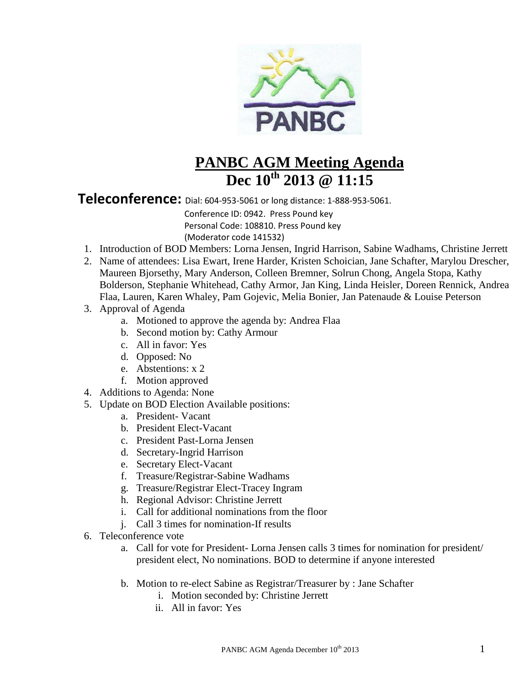

## **PANBC AGM Meeting Agenda Dec 10th 2013 @ 11:15**

**Teleconference:** Dial: 604-953-5061 or long distance: 1-888-953-5061.

 Conference ID: 0942. Press Pound key Personal Code: 108810. Press Pound key (Moderator code 141532)

- 1. Introduction of BOD Members: Lorna Jensen, Ingrid Harrison, Sabine Wadhams, Christine Jerrett
- 2. Name of attendees: Lisa Ewart, Irene Harder, Kristen Schoician, Jane Schafter, Marylou Drescher, Maureen Bjorsethy, Mary Anderson, Colleen Bremner, Solrun Chong, Angela Stopa, Kathy Bolderson, Stephanie Whitehead, Cathy Armor, Jan King, Linda Heisler, Doreen Rennick, Andrea Flaa, Lauren, Karen Whaley, Pam Gojevic, Melia Bonier, Jan Patenaude & Louise Peterson
- 3. Approval of Agenda
	- a. Motioned to approve the agenda by: Andrea Flaa
	- b. Second motion by: Cathy Armour
	- c. All in favor: Yes
	- d. Opposed: No
	- e. Abstentions: x 2
	- f. Motion approved
- 4. Additions to Agenda: None
- 5. Update on BOD Election Available positions:
	- a. President- Vacant
	- b. President Elect-Vacant
	- c. President Past-Lorna Jensen
	- d. Secretary-Ingrid Harrison
	- e. Secretary Elect-Vacant
	- f. Treasure/Registrar-Sabine Wadhams
	- g. Treasure/Registrar Elect-Tracey Ingram
	- h. Regional Advisor: Christine Jerrett
	- i. Call for additional nominations from the floor
	- j. Call 3 times for nomination-If results
- 6. Teleconference vote
	- a. Call for vote for President- Lorna Jensen calls 3 times for nomination for president/ president elect, No nominations. BOD to determine if anyone interested
	- b. Motion to re-elect Sabine as Registrar/Treasurer by : Jane Schafter
		- i. Motion seconded by: Christine Jerrett
		- ii. All in favor: Yes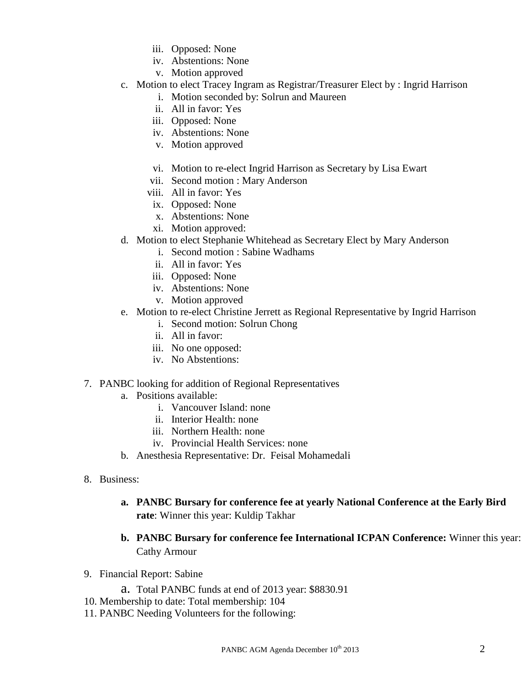- iii. Opposed: None
- iv. Abstentions: None
- v. Motion approved
- c. Motion to elect Tracey Ingram as Registrar/Treasurer Elect by : Ingrid Harrison
	- i. Motion seconded by: Solrun and Maureen
	- ii. All in favor: Yes
	- iii. Opposed: None
	- iv. Abstentions: None
	- v. Motion approved
	- vi. Motion to re-elect Ingrid Harrison as Secretary by Lisa Ewart
	- vii. Second motion : Mary Anderson
	- viii. All in favor: Yes
	- ix. Opposed: None
	- x. Abstentions: None
	- xi. Motion approved:
- d. Motion to elect Stephanie Whitehead as Secretary Elect by Mary Anderson
	- i. Second motion : Sabine Wadhams
		- ii. All in favor: Yes
	- iii. Opposed: None
	- iv. Abstentions: None
	- v. Motion approved
- e. Motion to re-elect Christine Jerrett as Regional Representative by Ingrid Harrison
	- i. Second motion: Solrun Chong
	- ii. All in favor:
	- iii. No one opposed:
	- iv. No Abstentions:
- 7. PANBC looking for addition of Regional Representatives
	- a. Positions available:
		- i. Vancouver Island: none
		- ii. Interior Health: none
		- iii. Northern Health: none
		- iv. Provincial Health Services: none
	- b. Anesthesia Representative: Dr. Feisal Mohamedali
- 8. Business:
	- **a. PANBC Bursary for conference fee at yearly National Conference at the Early Bird rate**: Winner this year: Kuldip Takhar
	- **b. PANBC Bursary for conference fee International ICPAN Conference:** Winner this year: Cathy Armour
- 9. Financial Report: Sabine
	- a. Total PANBC funds at end of 2013 year: \$8830.91
- 10. Membership to date: Total membership: 104
- 11. PANBC Needing Volunteers for the following: